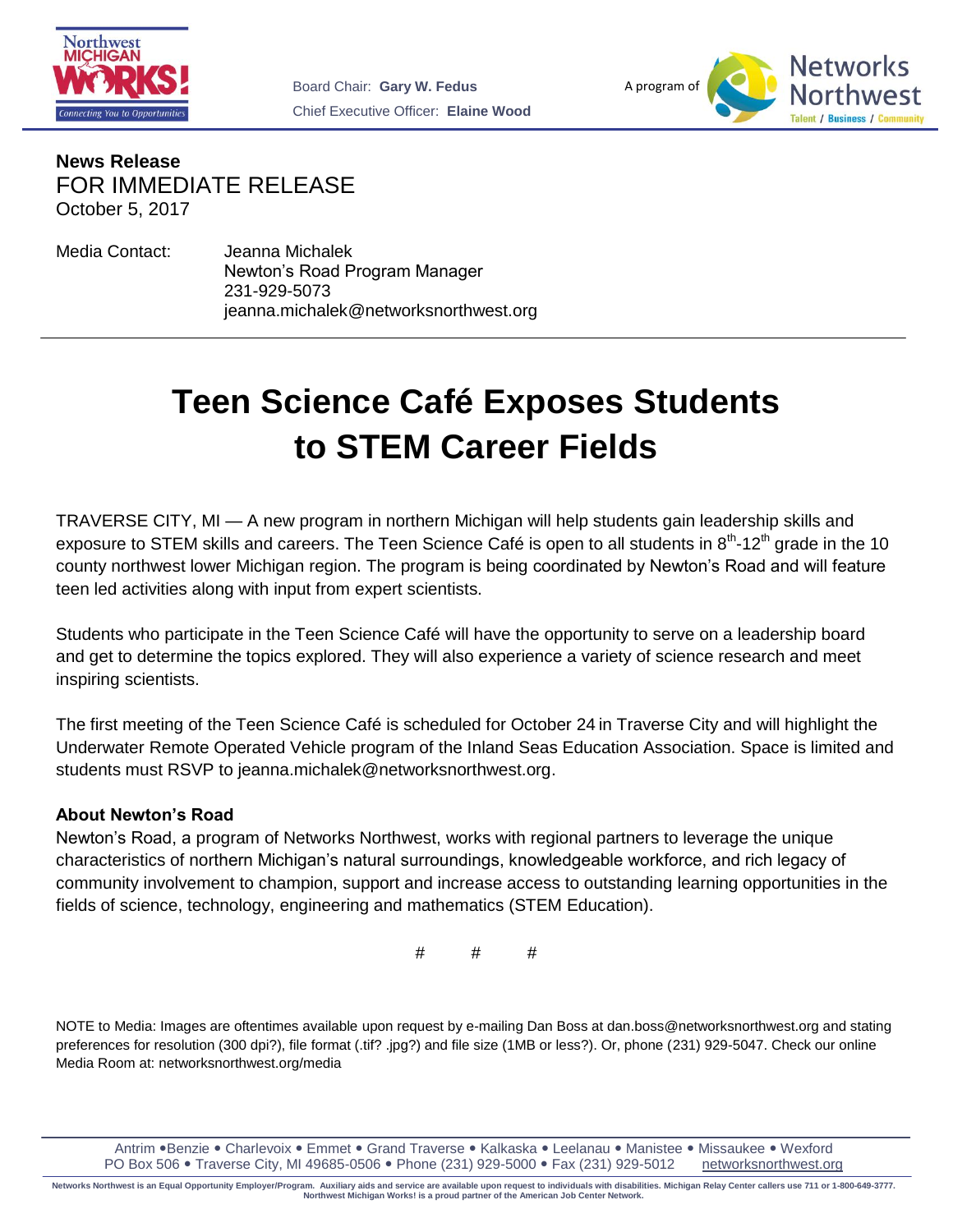



**News Release** FOR IMMEDIATE RELEASE October 5, 2017

Media Contact: Jeanna Michalek Newton's Road Program Manager 231-929-5073 jeanna.michalek@networksnorthwest.org

## **Teen Science Café Exposes Students to STEM Career Fields**

TRAVERSE CITY, MI — A new program in northern Michigan will help students gain leadership skills and exposure to STEM skills and careers. The Teen Science Café is open to all students in  $8^{th}$ -12<sup>th</sup> grade in the 10 county northwest lower Michigan region. The program is being coordinated by Newton's Road and will feature teen led activities along with input from expert scientists.

Students who participate in the Teen Science Café will have the opportunity to serve on a leadership board and get to determine the topics explored. They will also experience a variety of science research and meet inspiring scientists.

The first meeting of the Teen Science Café is scheduled for October 24 in Traverse City and will highlight the Underwater Remote Operated Vehicle program of the Inland Seas Education Association. Space is limited and students must RSVP to jeanna.michalek@networksnorthwest.org.

## **About Newton's Road**

Newton's Road, a program of Networks Northwest, works with regional partners to leverage the unique characteristics of northern Michigan's natural surroundings, knowledgeable workforce, and rich legacy of community involvement to champion, support and increase access to outstanding learning opportunities in the fields of science, technology, engineering and mathematics (STEM Education).

# # #

NOTE to Media: Images are oftentimes available upon request by e-mailing Dan Boss at dan.boss@networksnorthwest.org and stating preferences for resolution (300 dpi?), file format (.tif? .jpg?) and file size (1MB or less?). Or, phone (231) 929-5047. Check our online Media Room at: networksnorthwest.org/media

Antrim . Benzie . Charlevoix . Emmet . Grand Traverse . Kalkaska . Leelanau . Manistee . Missaukee . Wexford PO Box 506 . Traverse City, MI 49685-0506 . Phone (231) 929-5000 . Fax (231) 929-5012 networksnorthwest.org